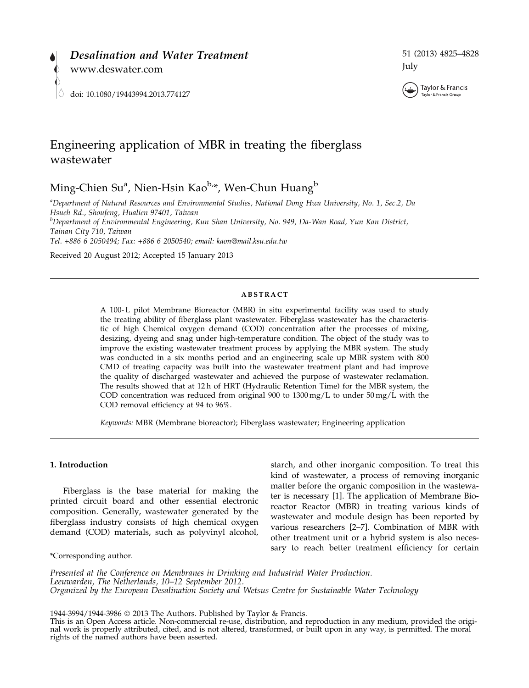

# 51 (2013) 4825–4828 July



Taylor & Francis

# Engineering application of MBR in treating the fiberglass wastewater

Ming-Chien Su<sup>a</sup>, Nien-Hsin Kao<sup>b,</sup>\*, Wen-Chun Huang<sup>b</sup>

a Department of Natural Resources and Environmental Studies, National Dong Hwa University, No. 1, Sec.2, Da Hsueh Rd., Shoufeng, Hualien 97401, Taiwan

<sup>b</sup>Department of Environmental Engineering, Kun Shan University, No. 949, Da-Wan Road, Yun Kan District, Tainan City 710, Taiwan

Tel. +886 6 2050494; Fax: +886 6 2050540; email: kaon@mail.ksu.edu.tw

Received 20 August 2012; Accepted 15 January 2013

### **ABSTRACT**

A 100- L pilot Membrane Bioreactor (MBR) in situ experimental facility was used to study the treating ability of fiberglass plant wastewater. Fiberglass wastewater has the characteristic of high Chemical oxygen demand (COD) concentration after the processes of mixing, desizing, dyeing and snag under high-temperature condition. The object of the study was to improve the existing wastewater treatment process by applying the MBR system. The study was conducted in a six months period and an engineering scale up MBR system with 800 CMD of treating capacity was built into the wastewater treatment plant and had improve the quality of discharged wastewater and achieved the purpose of wastewater reclamation. The results showed that at 12 h of HRT (Hydraulic Retention Time) for the MBR system, the COD concentration was reduced from original 900 to  $1300 \,\text{mg/L}$  to under  $50 \,\text{mg/L}$  with the COD removal efficiency at 94 to 96%.

Keywords: MBR (Membrane bioreactor); Fiberglass wastewater; Engineering application

### 1. Introduction

Fiberglass is the base material for making the printed circuit board and other essential electronic composition. Generally, wastewater generated by the fiberglass industry consists of high chemical oxygen demand (COD) materials, such as polyvinyl alcohol,

starch, and other inorganic composition. To treat this kind of wastewater, a process of removing inorganic matter before the organic composition in the wastewater is necessary [1]. The application of Membrane Bioreactor Reactor (MBR) in treating various kinds of wastewater and module design has been reported by various researchers [2–7]. Combination of MBR with other treatment unit or a hybrid system is also necessary to reach better treatment efficiency for certain \*Corresponding author.

Presented at the Conference on Membranes in Drinking and Industrial Water Production. Leeuwarden, The Netherlands, 10–12 September 2012. Organized by the European Desalination Society and Wetsus Centre for Sustainable Water Technology

<sup>1944-3994/1944-3986</sup> 2013 The Authors. Published by Taylor & Francis. This is an Open Access article. Non-commercial re-use, distribution, and reproduction in any medium, provided the original work is properly attributed, cited, and is not altered, transformed, or built upon in any way, is permitted. The moral rights of the named authors have been asserted.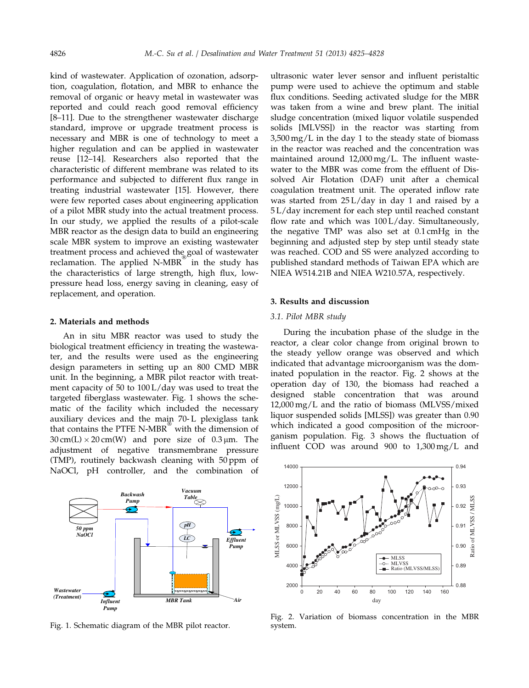kind of wastewater. Application of ozonation, adsorption, coagulation, flotation, and MBR to enhance the removal of organic or heavy metal in wastewater was reported and could reach good removal efficiency [8–11]. Due to the strengthener wastewater discharge standard, improve or upgrade treatment process is necessary and MBR is one of technology to meet a higher regulation and can be applied in wastewater reuse [12–14]. Researchers also reported that the characteristic of different membrane was related to its performance and subjected to different flux range in treating industrial wastewater [15]. However, there were few reported cases about engineering application of a pilot MBR study into the actual treatment process. In our study, we applied the results of a pilot-scale MBR reactor as the design data to build an engineering scale MBR system to improve an existing wastewater treatment process and achieved the goal of wastewater reclamation. The applied N-MBR in the study has the characteristics of large strength, high flux, lowpressure head loss, energy saving in cleaning, easy of replacement, and operation.

### 2. Materials and methods

An in situ MBR reactor was used to study the biological treatment efficiency in treating the wastewater, and the results were used as the engineering design parameters in setting up an 800 CMD MBR unit. In the beginning, a MBR pilot reactor with treatment capacity of 50 to 100 L/day was used to treat the targeted fiberglass wastewater. Fig. 1 shows the schematic of the facility which included the necessary auxiliary devices and the main 70- L plexiglass tank that contains the PTFE N-MBR with the dimension of  $30 \text{ cm(L)} \times 20 \text{ cm(W)}$  and pore size of  $0.3 \mu \text{m}$ . The adjustment of negative transmembrane pressure (TMP), routinely backwash cleaning with 50 ppm of NaOCl, pH controller, and the combination of



Fig. 1. Schematic diagram of the MBR pilot reactor.

ultrasonic water lever sensor and influent peristaltic pump were used to achieve the optimum and stable flux conditions. Seeding activated sludge for the MBR was taken from a wine and brew plant. The initial sludge concentration (mixed liquor volatile suspended solids [MLVSS]) in the reactor was starting from 3,500 mg/L in the day 1 to the steady state of biomass in the reactor was reached and the concentration was maintained around 12,000 mg/L. The influent wastewater to the MBR was come from the effluent of Dissolved Air Flotation (DAF) unit after a chemical coagulation treatment unit. The operated inflow rate was started from 25 L/day in day 1 and raised by a 5 L/day increment for each step until reached constant flow rate and which was 100 L/day. Simultaneously, the negative TMP was also set at 0.1 cmHg in the beginning and adjusted step by step until steady state was reached. COD and SS were analyzed according to published standard methods of Taiwan EPA which are NIEA W514.21B and NIEA W210.57A, respectively.

# 3. Results and discussion

## 3.1. Pilot MBR study

During the incubation phase of the sludge in the reactor, a clear color change from original brown to the steady yellow orange was observed and which indicated that advantage microorganism was the dominated population in the reactor. Fig. 2 shows at the operation day of 130, the biomass had reached a designed stable concentration that was around 12,000 mg/L and the ratio of biomass (MLVSS/mixed liquor suspended solids [MLSS]) was greater than 0.90 which indicated a good composition of the microorganism population. Fig. 3 shows the fluctuation of influent COD was around 900 to 1,300 mg/L and



Fig. 2. Variation of biomass concentration in the MBR system.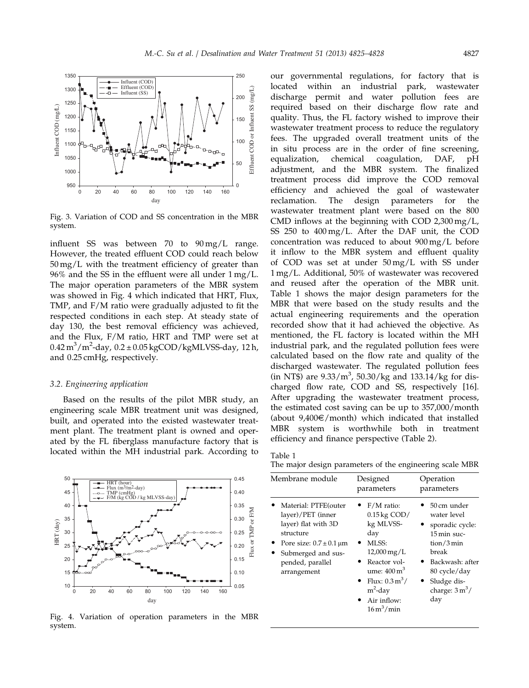

Fig. 3. Variation of COD and SS concentration in the MBR system.

influent SS was between 70 to 90 mg/L range. However, the treated effluent COD could reach below 50 mg/L with the treatment efficiency of greater than 96% and the SS in the effluent were all under 1 mg/L. The major operation parameters of the MBR system was showed in Fig. 4 which indicated that HRT, Flux, TMP, and F/M ratio were gradually adjusted to fit the respected conditions in each step. At steady state of day 130, the best removal efficiency was achieved, and the Flux, F/M ratio, HRT and TMP were set at  $0.42\,\mathrm{m}^3/\mathrm{m}^2$ -day,  $0.2\pm0.05\,\mathrm{kgCOD}/\mathrm{kgMLVSS}$ -day, 12 h, and 0.25 cmHg, respectively.

#### 3.2. Engineering application

Based on the results of the pilot MBR study, an engineering scale MBR treatment unit was designed, built, and operated into the existed wastewater treatment plant. The treatment plant is owned and operated by the FL fiberglass manufacture factory that is located within the MH industrial park. According to



Fig. 4. Variation of operation parameters in the MBR system.

our governmental regulations, for factory that is located within an industrial park, wastewater discharge permit and water pollution fees are required based on their discharge flow rate and quality. Thus, the FL factory wished to improve their wastewater treatment process to reduce the regulatory fees. The upgraded overall treatment units of the in situ process are in the order of fine screening, equalization, chemical coagulation, DAF, pH adjustment, and the MBR system. The finalized treatment process did improve the COD removal efficiency and achieved the goal of wastewater reclamation. The design parameters for the wastewater treatment plant were based on the 800 CMD inflows at the beginning with COD 2,300 mg/L, SS 250 to 400 mg/L. After the DAF unit, the COD concentration was reduced to about 900 mg/L before it inflow to the MBR system and effluent quality of COD was set at under 50 mg/L with SS under 1 mg/L. Additional, 50% of wastewater was recovered and reused after the operation of the MBR unit. Table 1 shows the major design parameters for the MBR that were based on the study results and the actual engineering requirements and the operation recorded show that it had achieved the objective. As mentioned, the FL factory is located within the MH industrial park, and the regulated pollution fees were calculated based on the flow rate and quality of the discharged wastewater. The regulated pollution fees  $(in NTS)$  are  $9.33/m<sup>3</sup>$ ,  $50.30/kg$  and  $133.14/kg$  for discharged flow rate, COD and SS, respectively [16]. After upgrading the wastewater treatment process, the estimated cost saving can be up to 357,000/month (about  $9,400 \in /$  month) which indicated that installed MBR system is worthwhile both in treatment efficiency and finance perspective (Table 2).

Table 1

The major design parameters of the engineering scale MBR

| 0.45                                                                                                                                                                             | Membrane module                                                                                                                                                            | Designed                                                                                                                                                                                                                               | Operation                                                                                                                                                                |  |
|----------------------------------------------------------------------------------------------------------------------------------------------------------------------------------|----------------------------------------------------------------------------------------------------------------------------------------------------------------------------|----------------------------------------------------------------------------------------------------------------------------------------------------------------------------------------------------------------------------------------|--------------------------------------------------------------------------------------------------------------------------------------------------------------------------|--|
| 0.40                                                                                                                                                                             |                                                                                                                                                                            | parameters                                                                                                                                                                                                                             | parameters                                                                                                                                                               |  |
| MLVSS-day)<br>0.35<br>0.30<br>₿<br>0.25<br>0.0.000<br>0.20<br>$\circ\circ^\infty$<br>0.15<br>0.10<br>0.05<br>0<br>100<br>120<br>140<br>160<br>day<br>ition parameters in the MBR | Material: PTFE(outer<br>layer)/PET (inner<br>layer) flat with 3D<br>structure<br>Pore size: $0.7 \pm 0.1 \,\mu m$<br>Submerged and sus-<br>pended, parallel<br>arrangement | $F/M$ ratio:<br>$0.15$ kg COD/<br>kg MLVSS-<br>day<br>MLSS:<br>$12,000 \,\mathrm{mg/L}$<br>Reactor vol-<br>ume: $400 \text{ m}^3$<br>• Flux: $0.3 \text{ m}^3$ /<br>$m^2$ -day<br>Air inflow:<br>٠<br>$16 \,\mathrm{m}^3/\mathrm{min}$ | 50 cm under<br>water level<br>sporadic cycle:<br>15 min suc-<br>tion/3min<br>break<br>Backwash: after<br>80 cycle/day<br>Sludge dis-<br>charge: $3 \text{ m}^3$ /<br>day |  |